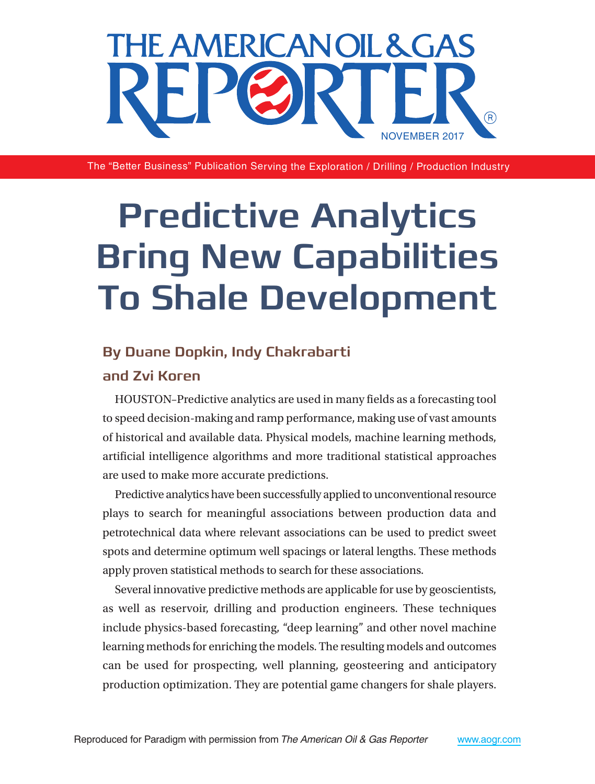

The "Better Business" Publication Serving the Exploration / Drilling / Production Industry

# **Predictive Analytics Bring New Capabilities To Shale Development**

## **By Duane Dopkin, Indy Chakrabarti**

### **and Zvi Koren**

HOUSTON–Predictive analytics are used in many fields as a forecasting tool to speed decision-making and ramp performance, making use of vast amounts of historical and available data. Physical models, machine learning methods, artificial intelligence algorithms and more traditional statistical approaches are used to make more accurate predictions.

Predictive analytics have been successfully applied to unconventional resource plays to search for meaningful associations between production data and petrotechnical data where relevant associations can be used to predict sweet spots and determine optimum well spacings or lateral lengths. These methods apply proven statistical methods to search for these associations.

Several innovative predictive methods are applicable for use by geoscientists, as well as reservoir, drilling and production engineers. These techniques include physics-based forecasting, "deep learning" and other novel machine learning methods for enriching the models. The resulting models and outcomes can be used for prospecting, well planning, geosteering and anticipatory production optimization. They are potential game changers for shale players.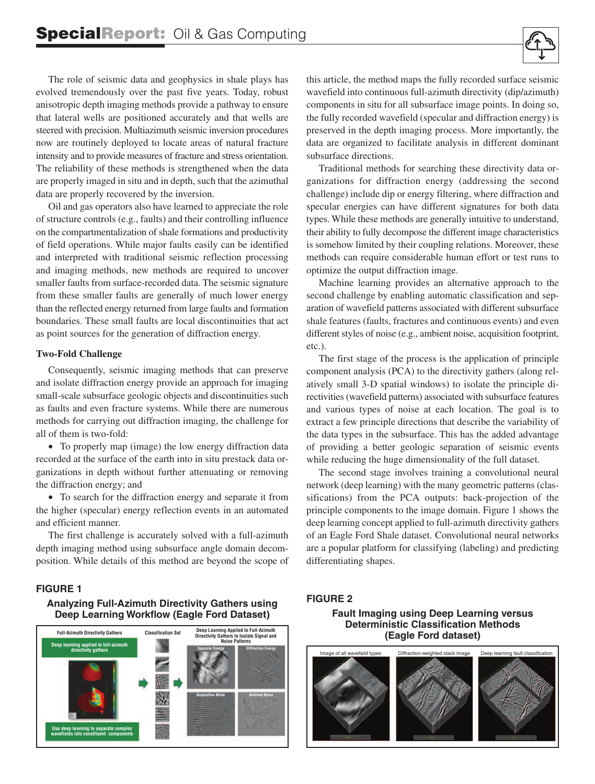The role of seismic data and geophysics in shale plays has evolved tremendously over the past five years. Today, robust anisotropic depth imaging methods provide a pathway to ensure that lateral wells are positioned accurately and that wells are steered with precision. Multiazimuth seismic inversion procedures now are routinely deployed to locate areas of natural fracture intensity and to provide measures of fracture and stress orientation. The reliability of these methods is strengthened when the data are properly imaged in situ and in depth, such that the azimuthal data are properly recovered by the inversion.

Oil and gas operators also have learned to appreciate the role of structure controls (e.g., faults) and their controlling influence on the compartmentalization of shale formations and productivity of field operations. While major faults easily can be identified and interpreted with traditional seismic reflection processing and imaging methods, new methods are required to uncover smaller faults from surface-recorded data. The seismic signature from these smaller faults are generally of much lower energy than the reflected energy returned from large faults and formation boundaries. These small faults are local discontinuities that act as point sources for the generation of diffraction energy.

#### **Two-Fold Challenge**

Consequently, seismic imaging methods that can preserve and isolate diffraction energy provide an approach for imaging small-scale subsurface geologic objects and discontinuities such as faults and even fracture systems. While there are numerous methods for carrying out diffraction imaging, the challenge for all of them is two-fold:

• To properly map (image) the low energy diffraction data recorded at the surface of the earth into in situ prestack data organizations in depth without further attenuating or removing the diffraction energy; and

• To search for the diffraction energy and separate it from the higher (specular) energy reflection events in an automated and efficient manner.

The first challenge is accurately solved with a full-azimuth depth imaging method using subsurface angle domain decomposition. While details of this method are beyond the scope of

this article, the method maps the fully recorded surface seismic wavefield into continuous full-azimuth directivity (dip/azimuth) components in situ for all subsurface image points. In doing so, the fully recorded wavefield (specular and diffraction energy) is preserved in the depth imaging process. More importantly, the data are organized to facilitate analysis in different dominant subsurface directions.

Traditional methods for searching these directivity data organizations for diffraction energy (addressing the second challenge) include dip or energy filtering, where diffraction and specular energies can have different signatures for both data types. While these methods are generally intuitive to understand, their ability to fully decompose the different image characteristics is somehow limited by their coupling relations. Moreover, these methods can require considerable human effort or test runs to optimize the output diffraction image.

Machine learning provides an alternative approach to the second challenge by enabling automatic classification and separation of wavefield patterns associated with different subsurface shale features (faults, fractures and continuous events) and even different styles of noise (e.g., ambient noise, acquisition footprint, etc.).

The first stage of the process is the application of principle component analysis (PCA) to the directivity gathers (along relatively small 3-D spatial windows) to isolate the principle directivities (wavefield patterns) associated with subsurface features and various types of noise at each location. The goal is to extract a few principle directions that describe the variability of the data types in the subsurface. This has the added advantage of providing a better geologic separation of seismic events while reducing the huge dimensionality of the full dataset.

The second stage involves training a convolutional neural network (deep learning) with the many geometric patterns (classifications) from the PCA outputs: back-projection of the principle components to the image domain. Figure 1 shows the deep learning concept applied to full-azimuth directivity gathers of an Eagle Ford Shale dataset. Convolutional neural networks are a popular platform for classifying (labeling) and predicting differentiating shapes.

#### **FIGURE 1**

#### **Analyzing Full-Azimuth Directivity Gathers using Deep Learning Workflow (Eagle Ford Dataset)**



**Fault Imaging using Deep Learning versus Deterministic Classification Methods (Eagle Ford dataset)**

**FIGURE 2**



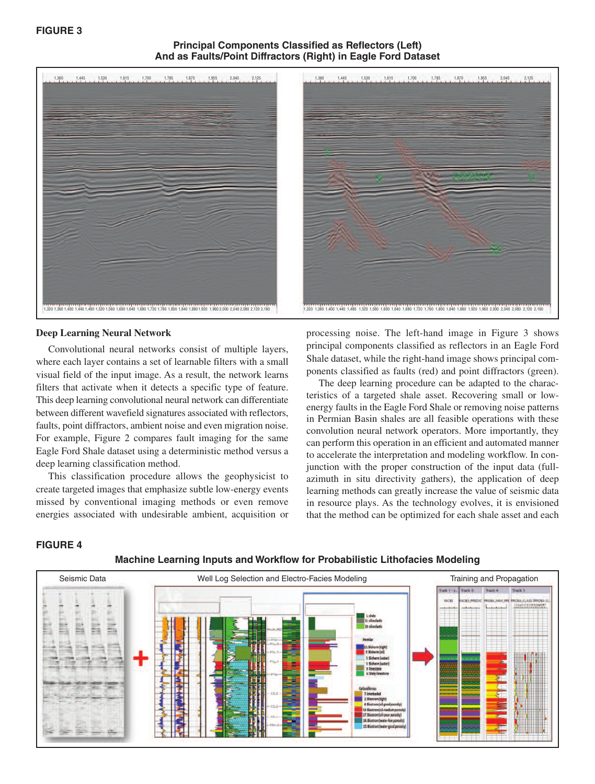#### **Principal Components Classified as Reflectors (Left) And as Faults/Point Diffractors (Right) in Eagle Ford Dataset**



#### **Deep Learning Neural Network**

Convolutional neural networks consist of multiple layers, where each layer contains a set of learnable filters with a small visual field of the input image. As a result, the network learns filters that activate when it detects a specific type of feature. This deep learning convolutional neural network can differentiate between different wavefield signatures associated with reflectors, faults, point diffractors, ambient noise and even migration noise. For example, Figure 2 compares fault imaging for the same Eagle Ford Shale dataset using a deterministic method versus a deep learning classification method.

This classification procedure allows the geophysicist to create targeted images that emphasize subtle low-energy events missed by conventional imaging methods or even remove energies associated with undesirable ambient, acquisition or processing noise. The left-hand image in Figure 3 shows principal components classified as reflectors in an Eagle Ford Shale dataset, while the right-hand image shows principal components classified as faults (red) and point diffractors (green).

The deep learning procedure can be adapted to the characteristics of a targeted shale asset. Recovering small or lowenergy faults in the Eagle Ford Shale or removing noise patterns in Permian Basin shales are all feasible operations with these convolution neural network operators. More importantly, they can perform this operation in an efficient and automated manner to accelerate the interpretation and modeling workflow. In conjunction with the proper construction of the input data (fullazimuth in situ directivity gathers), the application of deep learning methods can greatly increase the value of seismic data in resource plays. As the technology evolves, it is envisioned that the method can be optimized for each shale asset and each

#### **FIGURE 4**



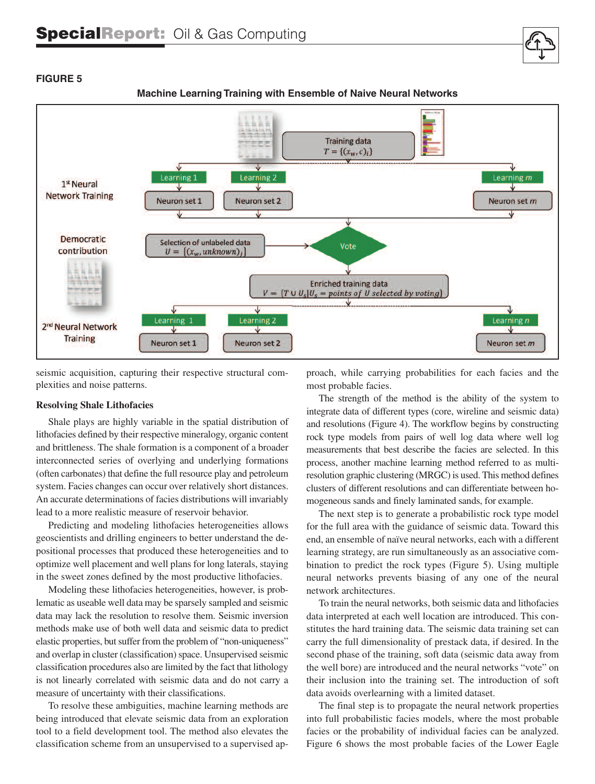

#### **Machine Learning Training with Ensemble of Naive Neural Networks**

seismic acquisition, capturing their respective structural complexities and noise patterns.

#### **Resolving Shale Lithofacies**

**FIGURE 5**

Shale plays are highly variable in the spatial distribution of lithofacies defined by their respective mineralogy, organic content and brittleness. The shale formation is a component of a broader interconnected series of overlying and underlying formations (often carbonates) that define the full resource play and petroleum system. Facies changes can occur over relatively short distances. An accurate determinations of facies distributions will invariably lead to a more realistic measure of reservoir behavior.

Predicting and modeling lithofacies heterogeneities allows geoscientists and drilling engineers to better understand the depositional processes that produced these heterogeneities and to optimize well placement and well plans for long laterals, staying in the sweet zones defined by the most productive lithofacies.

Modeling these lithofacies heterogeneities, however, is problematic as useable well data may be sparsely sampled and seismic data may lack the resolution to resolve them. Seismic inversion methods make use of both well data and seismic data to predict elastic properties, but suffer from the problem of "non-uniqueness" and overlap in cluster (classification) space. Unsupervised seismic classification procedures also are limited by the fact that lithology is not linearly correlated with seismic data and do not carry a measure of uncertainty with their classifications.

To resolve these ambiguities, machine learning methods are being introduced that elevate seismic data from an exploration tool to a field development tool. The method also elevates the classification scheme from an unsupervised to a supervised approach, while carrying probabilities for each facies and the most probable facies.

The strength of the method is the ability of the system to integrate data of different types (core, wireline and seismic data) and resolutions (Figure 4). The workflow begins by constructing rock type models from pairs of well log data where well log measurements that best describe the facies are selected. In this process, another machine learning method referred to as multiresolution graphic clustering (MRGC) is used. This method defines clusters of different resolutions and can differentiate between homogeneous sands and finely laminated sands, for example.

The next step is to generate a probabilistic rock type model for the full area with the guidance of seismic data. Toward this end, an ensemble of naïve neural networks, each with a different learning strategy, are run simultaneously as an associative combination to predict the rock types (Figure 5). Using multiple neural networks prevents biasing of any one of the neural network architectures.

To train the neural networks, both seismic data and lithofacies data interpreted at each well location are introduced. This constitutes the hard training data. The seismic data training set can carry the full dimensionality of prestack data, if desired. In the second phase of the training, soft data (seismic data away from the well bore) are introduced and the neural networks "vote" on their inclusion into the training set. The introduction of soft data avoids overlearning with a limited dataset.

The final step is to propagate the neural network properties into full probabilistic facies models, where the most probable facies or the probability of individual facies can be analyzed. Figure 6 shows the most probable facies of the Lower Eagle

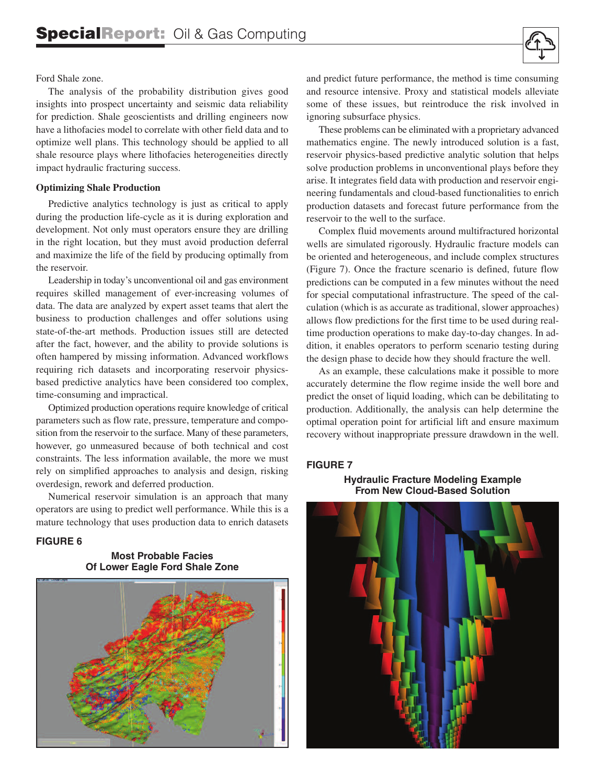

#### Ford Shale zone.

The analysis of the probability distribution gives good insights into prospect uncertainty and seismic data reliability for prediction. Shale geoscientists and drilling engineers now have a lithofacies model to correlate with other field data and to optimize well plans. This technology should be applied to all shale resource plays where lithofacies heterogeneities directly impact hydraulic fracturing success.

#### **Optimizing Shale Production**

Predictive analytics technology is just as critical to apply during the production life-cycle as it is during exploration and development. Not only must operators ensure they are drilling in the right location, but they must avoid production deferral and maximize the life of the field by producing optimally from the reservoir.

Leadership in today's unconventional oil and gas environment requires skilled management of ever-increasing volumes of data. The data are analyzed by expert asset teams that alert the business to production challenges and offer solutions using state-of-the-art methods. Production issues still are detected after the fact, however, and the ability to provide solutions is often hampered by missing information. Advanced workflows requiring rich datasets and incorporating reservoir physicsbased predictive analytics have been considered too complex, time-consuming and impractical.

Optimized production operations require knowledge of critical parameters such as flow rate, pressure, temperature and composition from the reservoir to the surface. Many of these parameters, however, go unmeasured because of both technical and cost constraints. The less information available, the more we must rely on simplified approaches to analysis and design, risking overdesign, rework and deferred production.

Numerical reservoir simulation is an approach that many operators are using to predict well performance. While this is a mature technology that uses production data to enrich datasets

#### **FIGURE 6**

**Most Probable Facies Of Lower Eagle Ford Shale Zone**



and predict future performance, the method is time consuming and resource intensive. Proxy and statistical models alleviate some of these issues, but reintroduce the risk involved in ignoring subsurface physics.

These problems can be eliminated with a proprietary advanced mathematics engine. The newly introduced solution is a fast, reservoir physics-based predictive analytic solution that helps solve production problems in unconventional plays before they arise. It integrates field data with production and reservoir engineering fundamentals and cloud-based functionalities to enrich production datasets and forecast future performance from the reservoir to the well to the surface.

Complex fluid movements around multifractured horizontal wells are simulated rigorously. Hydraulic fracture models can be oriented and heterogeneous, and include complex structures (Figure 7). Once the fracture scenario is defined, future flow predictions can be computed in a few minutes without the need for special computational infrastructure. The speed of the calculation (which is as accurate as traditional, slower approaches) allows flow predictions for the first time to be used during realtime production operations to make day-to-day changes. In addition, it enables operators to perform scenario testing during the design phase to decide how they should fracture the well.

As an example, these calculations make it possible to more accurately determine the flow regime inside the well bore and predict the onset of liquid loading, which can be debilitating to production. Additionally, the analysis can help determine the optimal operation point for artificial lift and ensure maximum recovery without inappropriate pressure drawdown in the well.

#### **FIGURE 7**

**Hydraulic Fracture Modeling Example From New Cloud-Based Solution**